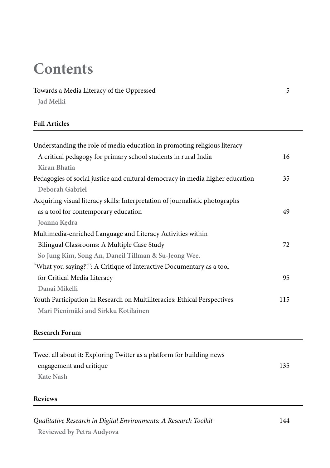# **Contents**

# Towards a Media Literacy of the Oppressed 5

**Jad Melki**

### **Full Articles**

| Understanding the role of media education in promoting religious literacy     |     |
|-------------------------------------------------------------------------------|-----|
| A critical pedagogy for primary school students in rural India                | 16  |
| Kiran Bhatia                                                                  |     |
| Pedagogies of social justice and cultural democracy in media higher education | 35  |
| Deborah Gabriel                                                               |     |
| Acquiring visual literacy skills: Interpretation of journalistic photographs  |     |
| as a tool for contemporary education                                          | 49  |
| Joanna Kedra                                                                  |     |
| Multimedia-enriched Language and Literacy Activities within                   |     |
| Bilingual Classrooms: A Multiple Case Study                                   | 72  |
| So Jung Kim, Song An, Daneil Tillman & Su-Jeong Wee.                          |     |
| "What you saying?!": A Critique of Interactive Documentary as a tool          |     |
| for Critical Media Literacy                                                   | 95  |
| Danai Mikelli                                                                 |     |
| Youth Participation in Research on Multiliteracies: Ethical Perspectives      | 115 |
| Mari Pienimäki and Sirkku Kotilainen                                          |     |
|                                                                               |     |

## **Research Forum**

| Tweet all about it: Exploring Twitter as a platform for building news |     |
|-----------------------------------------------------------------------|-----|
| engagement and critique                                               | 135 |
| Kate Nash                                                             |     |

#### **Reviews**

| Qualitative Research in Digital Environments: A Research Toolkit | 144 |
|------------------------------------------------------------------|-----|
| Reviewed by Petra Audyova                                        |     |